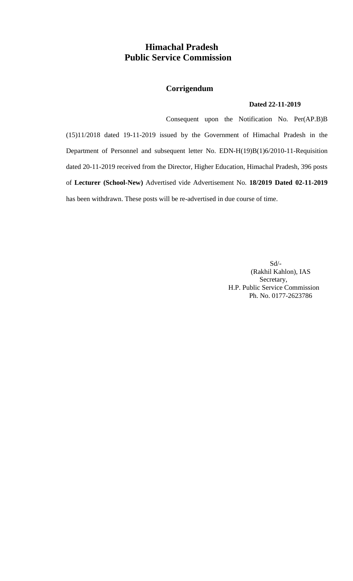# **Himachal Pradesh Public Service Commission**

# **Corrigendum**

### **Dated 22-11-2019**

Consequent upon the Notification No. Per(AP.B)B (15)11/2018 dated 19-11-2019 issued by the Government of Himachal Pradesh in the Department of Personnel and subsequent letter No. EDN-H(19)B(1)6/2010-11-Requisition dated 20-11-2019 received from the Director, Higher Education, Himachal Pradesh, 396 posts of **Lecturer (School-New)** Advertised vide Advertisement No. **18/2019 Dated 02-11-2019** has been withdrawn. These posts will be re-advertised in due course of time.

> Sd/- (Rakhil Kahlon), IAS Secretary, H.P. Public Service Commission Ph. No. 0177-2623786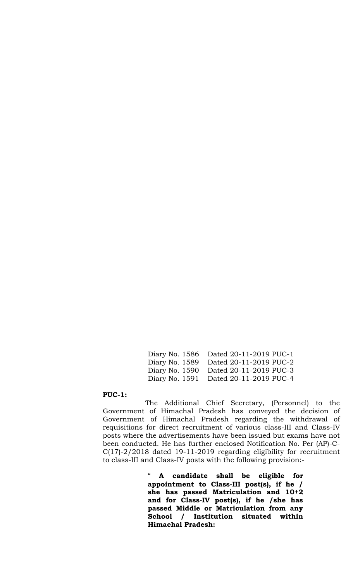Diary No. 1586 Dated 20-11-2019 PUC-1 Diary No. 1589 Dated 20-11-2019 PUC-2 Diary No. 1590 Dated 20-11-2019 PUC-3 Diary No. 1591 Dated 20-11-2019 PUC-4

#### **PUC-1:**

The Additional Chief Secretary, (Personnel) to the Government of Himachal Pradesh has conveyed the decision of Government of Himachal Pradesh regarding the withdrawal of requisitions for direct recruitment of various class-III and Class-IV posts where the advertisements have been issued but exams have not been conducted. He has further enclosed Notification No. Per (AP)-C-C(17)-2/2018 dated 19-11-2019 regarding eligibility for recruitment to class-III and Class-IV posts with the following provision:-

> " **A candidate shall be eligible for appointment to Class-III post(s), if he / she has passed Matriculation and 10+2 and for Class-IV post(s), if he /she has passed Middle or Matriculation from any School / Institution situated within Himachal Pradesh:**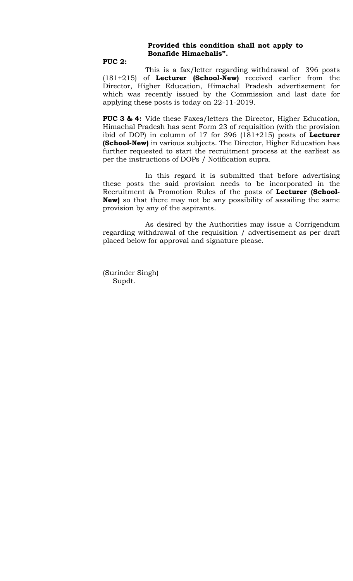### **Provided this condition shall not apply to Bonafide Himachalis".**

### **PUC 2:**

This is a fax/letter regarding withdrawal of 396 posts (181+215) of **Lecturer (School-New)** received earlier from the Director, Higher Education, Himachal Pradesh advertisement for which was recently issued by the Commission and last date for applying these posts is today on 22-11-2019.

**PUC 3 & 4:** Vide these Faxes/letters the Director, Higher Education, Himachal Pradesh has sent Form 23 of requisition (with the provision ibid of DOP) in column of 17 for 396 (181+215) posts of **Lecturer (School-New)** in various subjects. The Director, Higher Education has further requested to start the recruitment process at the earliest as per the instructions of DOPs / Notification supra.

In this regard it is submitted that before advertising these posts the said provision needs to be incorporated in the Recruitment & Promotion Rules of the posts of **Lecturer (School-New)** so that there may not be any possibility of assailing the same provision by any of the aspirants.

As desired by the Authorities may issue a Corrigendum regarding withdrawal of the requisition / advertisement as per draft placed below for approval and signature please.

(Surinder Singh) Supdt.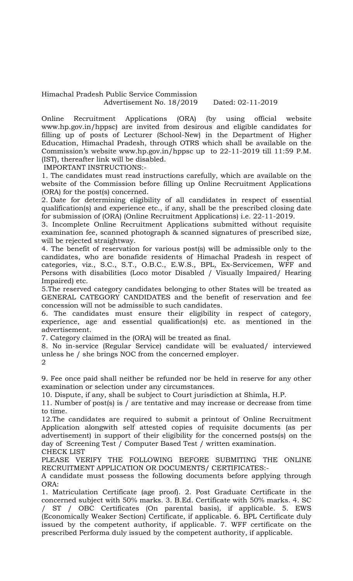Himachal Pradesh Public Service Commission Advertisement No. 18/2019 Dated: 02-11-2019

Online Recruitment Applications (ORA) (by using official website www.hp.gov.in/hppsc) are invited from desirous and eligible candidates for filling up of posts of Lecturer (School-New) in the Department of Higher Education, Himachal Pradesh, through OTRS which shall be available on the Commission's website www.hp.gov.in/hppsc up to 22-11-2019 till 11:59 P.M. (IST), thereafter link will be disabled.

IMPORTANT INSTRUCTIONS:-

1. The candidates must read instructions carefully, which are available on the website of the Commission before filling up Online Recruitment Applications (ORA) for the post(s) concerned.

2. Date for determining eligibility of all candidates in respect of essential qualification(s) and experience etc., if any, shall be the prescribed closing date for submission of (ORA) (Online Recruitment Applications) i.e. 22-11-2019.

3. Incomplete Online Recruitment Applications submitted without requisite examination fee, scanned photograph & scanned signatures of prescribed size, will be rejected straightway.

4. The benefit of reservation for various post(s) will be admissible only to the candidates, who are bonafide residents of Himachal Pradesh in respect of categories, viz., S.C., S.T., O.B.C., E.W.S., BPL, Ex-Servicemen, WFF and Persons with disabilities (Loco motor Disabled / Visually Impaired/ Hearing Impaired) etc.

5.The reserved category candidates belonging to other States will be treated as GENERAL CATEGORY CANDIDATES and the benefit of reservation and fee concession will not be admissible to such candidates.

6. The candidates must ensure their eligibility in respect of category, experience, age and essential qualification(s) etc. as mentioned in the advertisement.

7. Category claimed in the (ORA) will be treated as final.

8. No in-service (Regular Service) candidate will be evaluated/ interviewed unless he / she brings NOC from the concerned employer. 2

9. Fee once paid shall neither be refunded nor be held in reserve for any other examination or selection under any circumstances.

10. Dispute, if any, shall be subject to Court jurisdiction at Shimla, H.P.

11. Number of post(s) is / are tentative and may increase or decrease from time to time.

12.The candidates are required to submit a printout of Online Recruitment Application alongwith self attested copies of requisite documents (as per advertisement) in support of their eligibility for the concerned posts(s) on the day of Screening Test / Computer Based Test / written examination. CHECK LIST

PLEASE VERIFY THE FOLLOWING BEFORE SUBMITING THE ONLINE RECRUITMENT APPLICATION OR DOCUMENTS/ CERTIFICATES:-

A candidate must possess the following documents before applying through ORA:

1. Matriculation Certificate (age proof). 2. Post Graduate Certificate in the concerned subject with 50% marks. 3. B.Ed. Certificate with 50% marks. 4. SC / ST / OBC Certificates (On parental basis), if applicable. 5. EWS (Economically Weaker Section) Certificate, if applicable. 6. BPL Certificate duly issued by the competent authority, if applicable. 7. WFF certificate on the prescribed Performa duly issued by the competent authority, if applicable.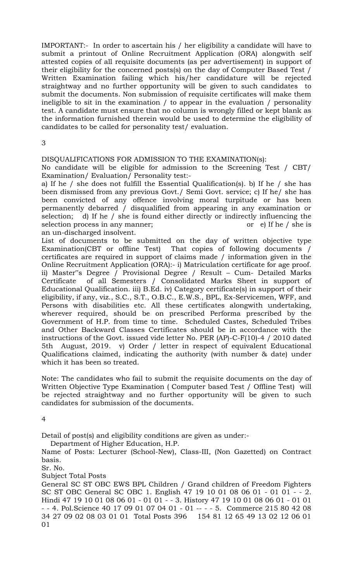IMPORTANT:- In order to ascertain his / her eligibility a candidate will have to submit a printout of Online Recruitment Application (ORA) alongwith self attested copies of all requisite documents (as per advertisement) in support of their eligibility for the concerned posts(s) on the day of Computer Based Test / Written Examination failing which his/her candidature will be rejected straightway and no further opportunity will be given to such candidates to submit the documents. Non submission of requisite certificates will make them ineligible to sit in the examination / to appear in the evaluation / personality test. A candidate must ensure that no column is wrongly filled or kept blank as the information furnished therein would be used to determine the eligibility of candidates to be called for personality test/ evaluation.

3

### DISQUALIFICATIONS FOR ADMISSION TO THE EXAMINATION(s):

No candidate will be eligible for admission to the Screening Test / CBT/ Examination/ Evaluation/ Personality test:-

a) If he / she does not fulfill the Essential Qualification(s). b) If he / she has been dismissed from any previous Govt./ Semi Govt. service; c) If he/ she has been convicted of any offence involving moral turpitude or has been permanently debarred / disqualified from appearing in any examination or selection; d) If he / she is found either directly or indirectly influencing the selection process in any manner; or e) If he / she is an un-discharged insolvent.

List of documents to be submitted on the day of written objective type Examination(CBT or offline Test) That copies of following documents / certificates are required in support of claims made / information given in the Online Recruitment Application (ORA):- i) Matriculation certificate for age proof. ii) Master"s Degree / Provisional Degree / Result – Cum- Detailed Marks Certificate of all Semesters / Consolidated Marks Sheet in support of Educational Qualification. iii) B.Ed. iv) Category certificate(s) in support of their eligibility, if any, viz., S.C., S.T., O.B.C., E.W.S., BPL, Ex-Servicemen, WFF, and Persons with disabilities etc. All these certificates alongwith undertaking, wherever required, should be on prescribed Performa prescribed by the Government of H.P. from time to time. Scheduled Castes, Scheduled Tribes and Other Backward Classes Certificates should be in accordance with the instructions of the Govt. issued vide letter No. PER (AP)-C-F(10)-4 / 2010 dated 5th August, 2019. v) Order / letter in respect of equivalent Educational Qualifications claimed, indicating the authority (with number & date) under which it has been so treated.

Note: The candidates who fail to submit the requisite documents on the day of Written Objective Type Examination ( Computer based Test / Offline Test) will be rejected straightway and no further opportunity will be given to such candidates for submission of the documents.

4

Detail of post(s) and eligibility conditions are given as under:-

Department of Higher Education, H.P.

Name of Posts: Lecturer (School-New), Class-III, (Non Gazetted) on Contract basis.

Sr. No.

Subject Total Posts

General SC ST OBC EWS BPL Children / Grand children of Freedom Fighters SC ST OBC General SC OBC 1. English 47 19 10 01 08 06 01 - 01 01 - - 2. Hindi 47 19 10 01 08 06 01 - 01 01 - - 3. History 47 19 10 01 08 06 01 - 01 01 - - 4. Pol.Science 40 17 09 01 07 04 01 - 01 -- - - 5. Commerce 215 80 42 08 34 27 09 02 08 03 01 01 Total Posts 396 154 81 12 65 49 13 02 12 06 01 01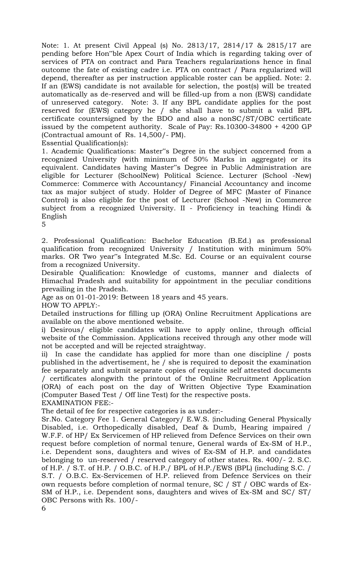Note: 1. At present Civil Appeal (s) No. 2813/17, 2814/17 & 2815/17 are pending before Hon"ble Apex Court of India which is regarding taking over of services of PTA on contract and Para Teachers regularizations hence in final outcome the fate of existing cadre i.e. PTA on contract / Para regularized will depend, thereafter as per instruction applicable roster can be applied. Note: 2. If an (EWS) candidate is not available for selection, the post(s) will be treated automatically as de-reserved and will be filled-up from a non (EWS) candidate of unreserved category. Note: 3. If any BPL candidate applies for the post reserved for (EWS) category he / she shall have to submit a valid BPL certificate countersigned by the BDO and also a nonSC/ST/OBC certificate issued by the competent authority. Scale of Pay: Rs.10300-34800 + 4200 GP (Contractual amount of Rs. 14,500/- PM).

Essential Qualification(s):

1. Academic Qualifications: Master"s Degree in the subject concerned from a recognized University (with minimum of 50% Marks in aggregate) or its equivalent. Candidates having Master"s Degree in Public Administration are eligible for Lecturer (SchoolNew) Political Science. Lecturer (School -New) Commerce: Commerce with Accountancy/ Financial Accountancy and income tax as major subject of study. Holder of Degree of MFC (Master of Finance Control) is also eligible for the post of Lecturer (School -New) in Commerce subject from a recognized University. II - Proficiency in teaching Hindi & English

5

2. Professional Qualification: Bachelor Education (B.Ed.) as professional qualification from recognized University / Institution with minimum 50% marks. OR Two year"s Integrated M.Sc. Ed. Course or an equivalent course from a recognized University.

Desirable Qualification: Knowledge of customs, manner and dialects of Himachal Pradesh and suitability for appointment in the peculiar conditions prevailing in the Pradesh.

Age as on 01-01-2019: Between 18 years and 45 years.

HOW TO APPLY:-

Detailed instructions for filling up (ORA) Online Recruitment Applications are available on the above mentioned website.

i) Desirous/ eligible candidates will have to apply online, through official website of the Commission. Applications received through any other mode will not be accepted and will be rejected straightway.

ii) In case the candidate has applied for more than one discipline / posts published in the advertisement, he / she is required to deposit the examination fee separately and submit separate copies of requisite self attested documents / certificates alongwith the printout of the Online Recruitment Application (ORA) of each post on the day of Written Objective Type Examination (Computer Based Test / Off line Test) for the respective posts. EXAMINATION FEE:-

The detail of fee for respective categories is as under:-

Sr.No. Category Fee 1. General Category/ E.W.S. {including General Physically Disabled, i.e. Orthopedically disabled, Deaf & Dumb, Hearing impaired / W.F.F. of HP/ Ex Servicemen of HP relieved from Defence Services on their own request before completion of normal tenure, General wards of Ex-SM of H.P., i.e. Dependent sons, daughters and wives of Ex-SM of H.P. and candidates belonging to un-reserved / reserved category of other states. Rs. 400/- 2. S.C. of H.P. / S.T. of H.P. / O.B.C. of H.P./ BPL of H.P./EWS (BPL) (including S.C. / S.T. / O.B.C. Ex-Servicemen of H.P. relieved from Defence Services on their own requests before completion of normal tenure, SC / ST / OBC wards of Ex-SM of H.P., i.e. Dependent sons, daughters and wives of Ex-SM and SC/ ST/ OBC Persons with Rs. 100/-

6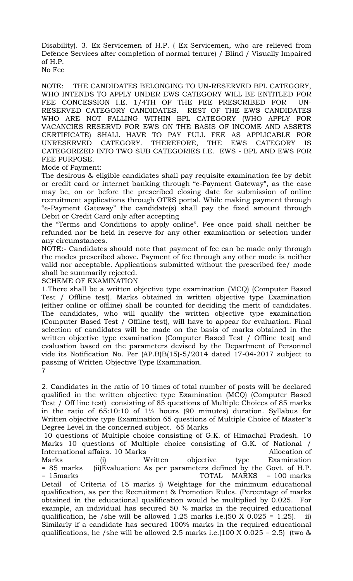Disability). 3. Ex-Servicemen of H.P. ( Ex-Servicemen, who are relieved from Defence Services after completion of normal tenure) / Blind / Visually Impaired of H.P. No Fee

NOTE: THE CANDIDATES BELONGING TO UN-RESERVED BPL CATEGORY, WHO INTENDS TO APPLY UNDER EWS CATEGORY WILL BE ENTITLED FOR FEE CONCESSION I.E. 1/4TH OF THE FEE PRESCRIBED FOR UN-RESERVED CATEGORY CANDIDATES. REST OF THE EWS CANDIDATES WHO ARE NOT FALLING WITHIN BPL CATEGORY (WHO APPLY FOR VACANCIES RESERVD FOR EWS ON THE BASIS OF INCOME AND ASSETS CERTIFICATE) SHALL HAVE TO PAY FULL FEE AS APPLICABLE FOR UNRESERVED CATEGORY. THEREFORE, THE EWS CATEGORY IS CATEGORIZED INTO TWO SUB CATEGORIES I.E. EWS - BPL AND EWS FOR FEE PURPOSE.

Mode of Payment:-

The desirous & eligible candidates shall pay requisite examination fee by debit or credit card or internet banking through "e-Payment Gateway", as the case may be, on or before the prescribed closing date for submission of online recruitment applications through OTRS portal. While making payment through "e-Payment Gateway" the candidate(s) shall pay the fixed amount through Debit or Credit Card only after accepting

the "Terms and Conditions to apply online". Fee once paid shall neither be refunded nor be held in reserve for any other examination or selection under any circumstances.

NOTE:- Candidates should note that payment of fee can be made only through the modes prescribed above. Payment of fee through any other mode is neither valid nor acceptable. Applications submitted without the prescribed fee/ mode shall be summarily rejected.

SCHEME OF EXAMINATION

1.There shall be a written objective type examination (MCQ) (Computer Based Test / Offline test). Marks obtained in written objective type Examination (either online or offline) shall be counted for deciding the merit of candidates. The candidates, who will qualify the written objective type examination (Computer Based Test / Offline test), will have to appear for evaluation. Final selection of candidates will be made on the basis of marks obtained in the written objective type examination (Computer Based Test / Offline test) and evaluation based on the parameters devised by the Department of Personnel vide its Notification No. Per (AP.B)B(15)-5/2014 dated 17-04-2017 subject to passing of Written Objective Type Examination. 7

2. Candidates in the ratio of 10 times of total number of posts will be declared qualified in the written objective type Examination (MCQ) (Computer Based Test / Off line test) consisting of 85 questions of Multiple Choices of 85 marks in the ratio of 65:10:10 of 1½ hours (90 minutes) duration. Syllabus for Written objective type Examination 65 questions of Multiple Choice of Master"s Degree Level in the concerned subject. 65 Marks

10 questions of Multiple choice consisting of G.K. of Himachal Pradesh. 10 Marks 10 questions of Multiple choice consisting of G.K. of National / International affairs. 10 Marks Allocation of Allocation of Marks (i) Written objective type Examination = 85 marks (ii)Evaluation: As per parameters defined by the Govt. of H.P. = 15marks TOTAL MARKS = 100 marks Detail of Criteria of 15 marks i) Weightage for the minimum educational qualification, as per the Recruitment & Promotion Rules. (Percentage of marks obtained in the educational qualification would be multiplied by 0.025. For example, an individual has secured 50 % marks in the required educational qualification, he /she will be allowed 1.25 marks i.e.(50 X 0.025 = 1.25). ii) Similarly if a candidate has secured 100% marks in the required educational qualifications, he /she will be allowed 2.5 marks i.e.(100 X 0.025 = 2.5) (two  $\&$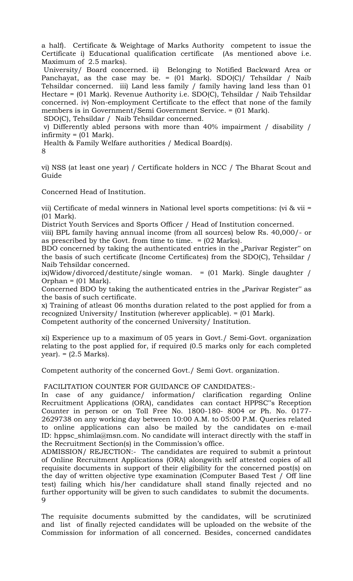a half). Certificate & Weightage of Marks Authority competent to issue the Certificate i) Educational qualification certificate (As mentioned above i.e. Maximum of 2.5 marks).

University/ Board concerned. ii) Belonging to Notified Backward Area or Panchayat, as the case may be.  $=$  (01 Mark). SDO(C)/ Tehsildar / Naib Tehsildar concerned. iii) Land less family / family having land less than 01 Hectare = (01 Mark). Revenue Authority i.e. SDO(C), Tehsildar / Naib Tehsildar concerned. iv) Non-employment Certificate to the effect that none of the family members is in Government/Semi Government Service. = (01 Mark).

SDO(C), Tehsildar / Naib Tehsildar concerned.

v) Differently abled persons with more than 40% impairment / disability /  $in$ firmity =  $(01 \text{ Mark})$ .

Health & Family Welfare authorities / Medical Board(s).

8

vi) NSS (at least one year) / Certificate holders in NCC / The Bharat Scout and Guide

Concerned Head of Institution.

vii) Certificate of medal winners in National level sports competitions: (vi & vii = (01 Mark).

District Youth Services and Sports Officer / Head of Institution concerned.

viii) BPL family having annual income (from all sources) below Rs. 40,000/- or as prescribed by the Govt. from time to time. = (02 Marks).

BDO concerned by taking the authenticated entries in the "Parivar Register" on the basis of such certificate (Income Certificates) from the SDO(C), Tehsildar / Naib Tehsildar concerned.

ix)Widow/divorced/destitute/single woman. =  $(01$  Mark). Single daughter / Orphan =  $(01 \text{ Mark})$ .

Concerned BDO by taking the authenticated entries in the "Parivar Register" as the basis of such certificate.

x) Training of atleast 06 months duration related to the post applied for from a recognized University/ Institution (wherever applicable). = (01 Mark).

Competent authority of the concerned University/ Institution.

xi) Experience up to a maximum of 05 years in Govt./ Semi-Govt. organization relating to the post applied for, if required (0.5 marks only for each completed  $year) = (2.5 Marks).$ 

Competent authority of the concerned Govt./ Semi Govt. organization.

FACILITATION COUNTER FOR GUIDANCE OF CANDIDATES:-

In case of any guidance/ information/ clarification regarding Online Recruitment Applications (ORA), candidates can contact HPPSC"s Reception Counter in person or on Toll Free No. 1800-180- 8004 or Ph. No. 0177- 2629738 on any working day between 10:00 A.M. to 05:00 P.M. Queries related to online applications can also be mailed by the candidates on e-mail ID: hppsc\_shimla@msn.com. No candidate will interact directly with the staff in the Recruitment Section(s) in the Commission's office.

ADMISSION/ REJECTION:- The candidates are required to submit a printout of Online Recruitment Applications (ORA) alongwith self attested copies of all requisite documents in support of their eligibility for the concerned post(s) on the day of written objective type examination (Computer Based Test / Off line test) failing which his/her candidature shall stand finally rejected and no further opportunity will be given to such candidates to submit the documents.  $\mathbf Q$ 

The requisite documents submitted by the candidates, will be scrutinized and list of finally rejected candidates will be uploaded on the website of the Commission for information of all concerned. Besides, concerned candidates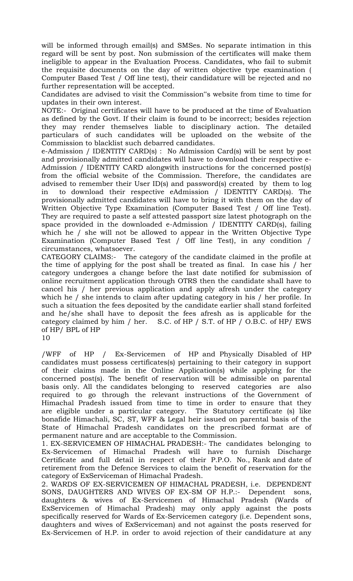will be informed through email(s) and SMSes. No separate intimation in this regard will be sent by post. Non submission of the certificates will make them ineligible to appear in the Evaluation Process. Candidates, who fail to submit the requisite documents on the day of written objective type examination ( Computer Based Test / Off line test), their candidature will be rejected and no further representation will be accepted.

Candidates are advised to visit the Commission"s website from time to time for updates in their own interest.

NOTE:- Original certificates will have to be produced at the time of Evaluation as defined by the Govt. If their claim is found to be incorrect; besides rejection they may render themselves liable to disciplinary action. The detailed particulars of such candidates will be uploaded on the website of the Commission to blacklist such debarred candidates.

e-Admission / IDENTITY CARD(s) : No Admission Card(s) will be sent by post and provisionally admitted candidates will have to download their respective e-Admission / IDENTITY CARD alongwith instructions for the concerned post(s) from the official website of the Commission. Therefore, the candidates are advised to remember their User ID(s) and password(s) created by them to log in to download their respective eAdmission / IDENTITY CARD(s). The provisionally admitted candidates will have to bring it with them on the day of Written Objective Type Examination (Computer Based Test / Off line Test). They are required to paste a self attested passport size latest photograph on the space provided in the downloaded e-Admission / IDENTITY CARD(s), failing which he / she will not be allowed to appear in the Written Objective Type Examination (Computer Based Test / Off line Test), in any condition / circumstances, whatsoever.

CATEGORY CLAIMS:- The category of the candidate claimed in the profile at the time of applying for the post shall be treated as final. In case his / her category undergoes a change before the last date notified for submission of online recruitment application through OTRS then the candidate shall have to cancel his / her previous application and apply afresh under the category which he / she intends to claim after updating category in his / her profile. In such a situation the fees deposited by the candidate earlier shall stand forfeited and he/she shall have to deposit the fees afresh as is applicable for the category claimed by him / her. S.C. of HP / S.T. of HP / O.B.C. of HP/ EWS of HP/ BPL of HP 10

/WFF of HP / Ex-Servicemen of HP and Physically Disabled of HP candidates must possess certificates(s) pertaining to their category in support of their claims made in the Online Application(s) while applying for the concerned post(s). The benefit of reservation will be admissible on parental basis only. All the candidates belonging to reserved categories are also required to go through the relevant instructions of the Government of Himachal Pradesh issued from time to time in order to ensure that they are eligible under a particular category. The Statutory certificate (s) like bonafide Himachali, SC, ST, WFF & Legal heir issued on parental basis of the State of Himachal Pradesh candidates on the prescribed format are of permanent nature and are acceptable to the Commission.

1. EX-SERVICEMEN OF HIMACHAL PRADESH:- The candidates belonging to Ex-Servicemen of Himachal Pradesh will have to furnish Discharge Certificate and full detail in respect of their P.P.O. No., Rank and date of retirement from the Defence Services to claim the benefit of reservation for the category of ExServiceman of Himachal Pradesh.

2. WARDS OF EX-SERVICEMEN OF HIMACHAL PRADESH, i.e. DEPENDENT SONS, DAUGHTERS AND WIVES OF EX-SM OF H.P.:- Dependent sons, daughters & wives of Ex-Servicemen of Himachal Pradesh (Wards of ExServicemen of Himachal Pradesh) may only apply against the posts specifically reserved for Wards of Ex-Servicemen category (i.e. Dependent sons, daughters and wives of ExServiceman) and not against the posts reserved for Ex-Servicemen of H.P. in order to avoid rejection of their candidature at any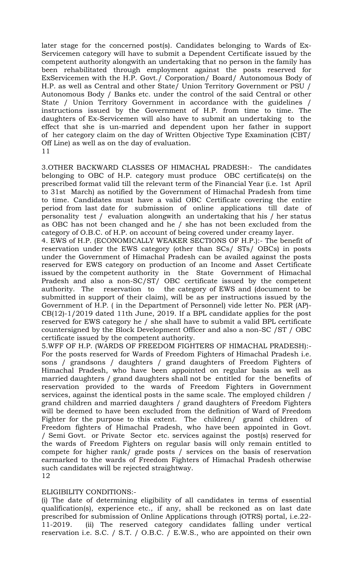later stage for the concerned post(s). Candidates belonging to Wards of Ex-Servicemen category will have to submit a Dependent Certificate issued by the competent authority alongwith an undertaking that no person in the family has been rehabilitated through employment against the posts reserved for ExServicemen with the H.P. Govt./ Corporation/ Board/ Autonomous Body of H.P. as well as Central and other State/ Union Territory Government or PSU / Autonomous Body / Banks etc. under the control of the said Central or other State / Union Territory Government in accordance with the guidelines / instructions issued by the Government of H.P. from time to time. The daughters of Ex-Servicemen will also have to submit an undertaking to the effect that she is un-married and dependent upon her father in support of her category claim on the day of Written Objective Type Examination (CBT/ Off Line) as well as on the day of evaluation. 11

3.OTHER BACKWARD CLASSES OF HIMACHAL PRADESH:- The candidates belonging to OBC of H.P. category must produce OBC certificate(s) on the prescribed format valid till the relevant term of the Financial Year (i.e. 1st April to 31st March) as notified by the Government of Himachal Pradesh from time to time. Candidates must have a valid OBC Certificate covering the entire period from last date for submission of online applications till date of personality test / evaluation alongwith an undertaking that his / her status as OBC has not been changed and he / she has not been excluded from the category of O.B.C. of H.P. on account of being covered under creamy layer.

4. EWS of H.P. (ECONOMICALLY WEAKER SECTIONS OF H.P.):- The benefit of reservation under the EWS category (other than SCs/ STs/ OBCs) in posts under the Government of Himachal Pradesh can be availed against the posts reserved for EWS category on production of an Income and Asset Certificate issued by the competent authority in the State Government of Himachal Pradesh and also a non-SC/ST/ OBC certificate issued by the competent authority. The reservation to the category of EWS and (document to be submitted in support of their claim), will be as per instructions issued by the Government of H.P. ( in the Department of Personnel) vide letter No. PER (AP)- CB(12)-1/2019 dated 11th June, 2019. If a BPL candidate applies for the post reserved for EWS category he / she shall have to submit a valid BPL certificate countersigned by the Block Development Officer and also a non-SC /ST / OBC certificate issued by the competent authority.

5.WFF OF H.P. (WARDS OF FREEDOM FIGHTERS OF HIMACHAL PRADESH):- For the posts reserved for Wards of Freedom Fighters of Himachal Pradesh i.e. sons / grandsons / daughters / grand daughters of Freedom Fighters of Himachal Pradesh, who have been appointed on regular basis as well as married daughters / grand daughters shall not be entitled for the benefits of reservation provided to the wards of Freedom Fighters in Government services, against the identical posts in the same scale. The employed children / grand children and married daughters / grand daughters of Freedom Fighters will be deemed to have been excluded from the definition of Ward of Freedom Fighter for the purpose to this extent. The children/ grand children of Freedom fighters of Himachal Pradesh, who have been appointed in Govt. / Semi Govt. or Private Sector etc. services against the post(s) reserved for the wards of Freedom Fighters on regular basis will only remain entitled to compete for higher rank/ grade posts / services on the basis of reservation earmarked to the wards of Freedom Fighters of Himachal Pradesh otherwise such candidates will be rejected straightway. 12

## ELIGIBILITY CONDITIONS:-

(i) The date of determining eligibility of all candidates in terms of essential qualification(s), experience etc., if any, shall be reckoned as on last date prescribed for submission of Online Applications through (OTRS) portal, i.e.22- 11-2019. (ii) The reserved category candidates falling under vertical reservation i.e. S.C. / S.T. / O.B.C. / E.W.S., who are appointed on their own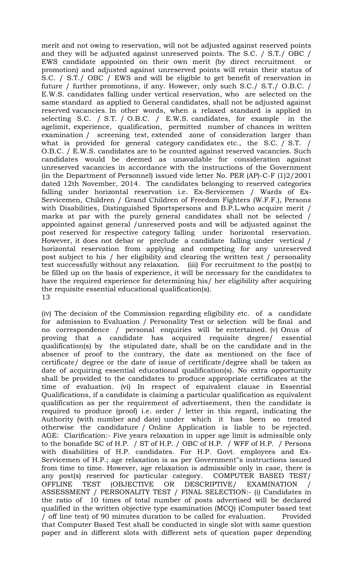merit and not owing to reservation, will not be adjusted against reserved points and they will be adjusted against unreserved points. The S.C. / S.T./ OBC / EWS candidate appointed on their own merit (by direct recruitment or promotion) and adjusted against unreserved points will retain their status of S.C. / S.T./ OBC / EWS and will be eligible to get benefit of reservation in future / further promotions, if any. However, only such S.C./ S.T./ O.B.C. / E.W.S. candidates falling under vertical reservation, who are selected on the same standard as applied to General candidates, shall not be adjusted against reserved vacancies. In other words, when a relaxed standard is applied in selecting S.C. / S.T. / O.B.C. / E.W.S. candidates, for example in the agelimit, experience, qualification, permitted number of chances in written examination / screening test, extended zone of consideration larger than what is provided for general category candidates etc., the S.C. / S.T. O.B.C. / E.W.S. candidates are to be counted against reserved vacancies. Such candidates would be deemed as unavailable for consideration against unreserved vacancies in accordance with the instructions of the Government (in the Department of Personnel) issued vide letter No. PER (AP)-C-F (1)2/2001 dated 12th November, 2014. The candidates belonging to reserved categories falling under horizontal reservation i.e. Ex-Servicemen / Wards of Ex-Servicemen, Children / Grand Children of Freedom Fighters (W.F.F.), Persons with Disabilities, Distinguished Sportspersons and B.P.L.who acquire merit / marks at par with the purely general candidates shall not be selected / appointed against general /unreserved posts and will be adjusted against the post reserved for respective category falling under horizontal reservation. However, it does not debar or preclude a candidate falling under vertical / horizontal reservation from applying and competing for any unreserved post subject to his / her eligibility and clearing the written test / personality test successfully without any relaxation. (iii) For recruitment to the post(s) to be filled up on the basis of experience, it will be necessary for the candidates to have the required experience for determining his/ her eligibility after acquiring the requisite essential educational qualification(s). 13

(iv) The decision of the Commission regarding eligibility etc. of a candidate for admission to Evaluation / Personality Test or selection will be final and no correspondence / personal enquiries will be entertained. (v) Onus of proving that a candidate has acquired requisite degree/ essential qualification(s) by the stipulated date, shall be on the candidate and in the absence of proof to the contrary, the date as mentioned on the face of certificate/ degree or the date of issue of certificate/degree shall be taken as date of acquiring essential educational qualification(s). No extra opportunity shall be provided to the candidates to produce appropriate certificates at the time of evaluation. (vi) In respect of equivalent clause in Essential Qualifications, if a candidate is claiming a particular qualification as equivalent qualification as per the requirement of advertisement, then the candidate is required to produce (proof) i.e. order / letter in this regard, indicating the Authority (with number and date) under which it has been so treated otherwise the candidature / Online Application is liable to be rejected. AGE: Clarification:- Five years relaxation in upper age limit is admissible only to the bonafide SC of H.P. / ST of H.P. / OBC of H.P. / WFF of H.P. / Persons with disabilities of H.P. candidates. For H.P. Govt. employees and Ex-Servicemen of H.P.; age relaxation is as per Government"s instructions issued from time to time. However, age relaxation is admissible only in case, there is any post(s) reserved for particular category. COMPUTER BASED TEST/ OFFLINE TEST (OBJECTIVE OR DESCRIPTIVE/ EXAMINATION / ASSESSMENT / PERSONALITY TEST / FINAL SELECTION:- (i) Candidates in the ratio of 10 times of total number of posts advertised will be declared qualified in the written objective type examination (MCQ) (Computer based test / off line test) of 90 minutes duration to be called for evaluation. Provided that Computer Based Test shall be conducted in single slot with same question paper and in different slots with different sets of question paper depending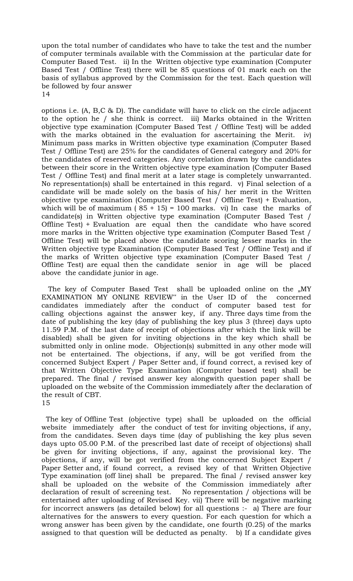upon the total number of candidates who have to take the test and the number of computer terminals available with the Commission at the particular date for Computer Based Test. ii) In the Written objective type examination (Computer Based Test / Offline Test) there will be 85 questions of 01 mark each on the basis of syllabus approved by the Commission for the test. Each question will be followed by four answer 14

options i.e. (A, B,C & D). The candidate will have to click on the circle adjacent to the option he / she think is correct. iii) Marks obtained in the Written objective type examination (Computer Based Test / Offline Test) will be added with the marks obtained in the evaluation for ascertaining the Merit. iv) Minimum pass marks in Written objective type examination (Computer Based Test / Offline Test) are 25% for the candidates of General category and 20% for the candidates of reserved categories. Any correlation drawn by the candidates between their score in the Written objective type examination (Computer Based Test / Offline Test) and final merit at a later stage is completely unwarranted. No representation(s) shall be entertained in this regard. v) Final selection of a candidate will be made solely on the basis of his/ her merit in the Written objective type examination (Computer Based Test / Offline Test) + Evaluation, which will be of maximum  $(85 + 15) = 100$  marks. vi) In case the marks of candidate(s) in Written objective type examination (Computer Based Test / Offline Test) + Evaluation are equal then the candidate who have scored more marks in the Written objective type examination (Computer Based Test / Offline Test) will be placed above the candidate scoring lesser marks in the Written objective type Examination (Computer Based Test / Offline Test) and if the marks of Written objective type examination (Computer Based Test / Offline Test) are equal then the candidate senior in age will be placed above the candidate junior in age.

The key of Computer Based Test shall be uploaded online on the "MY EXAMINATION MY ONLINE REVIEW" in the User ID of the concerned candidates immediately after the conduct of computer based test for calling objections against the answer key, if any. Three days time from the date of publishing the key (day of publishing the key plus 3 (three) days upto 11.59 P.M. of the last date of receipt of objections after which the link will be disabled) shall be given for inviting objections in the key which shall be submitted only in online mode. Objection(s) submitted in any other mode will not be entertained. The objections, if any, will be got verified from the concerned Subject Expert / Paper Setter and, if found correct, a revised key of that Written Objective Type Examination (Computer based test) shall be prepared. The final / revised answer key alongwith question paper shall be uploaded on the website of the Commission immediately after the declaration of the result of CBT. 15

 The key of Offline Test (objective type) shall be uploaded on the official website immediately after the conduct of test for inviting objections, if any, from the candidates. Seven days time (day of publishing the key plus seven days upto 05.00 P.M. of the prescribed last date of receipt of objections) shall be given for inviting objections, if any, against the provisional key. The objections, if any, will be got verified from the concerned Subject Expert / Paper Setter and, if found correct, a revised key of that Written Objective Type examination (off line) shall be prepared. The final / revised answer key shall be uploaded on the website of the Commission immediately after declaration of result of screening test. No representation / objections will be entertained after uploading of Revised Key. vii) There will be negative marking for incorrect answers (as detailed below) for all questions :- a) There are four alternatives for the answers to every question. For each question for which a wrong answer has been given by the candidate, one fourth (0.25) of the marks assigned to that question will be deducted as penalty. b) If a candidate gives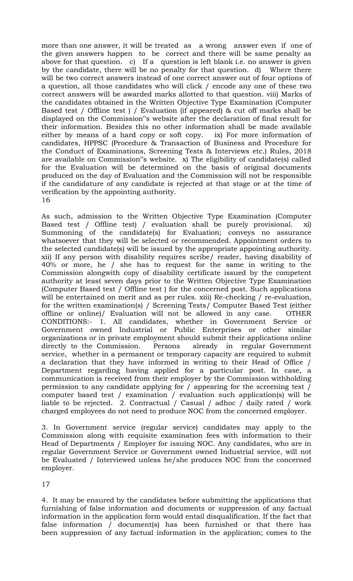more than one answer, it will be treated as a wrong answer even if one of the given answers happen to be correct and there will be same penalty as above for that question. c) If a question is left blank i.e. no answer is given by the candidate, there will be no penalty for that question. d) Where there will be two correct answers instead of one correct answer out of four options of a question, all those candidates who will click / encode any one of these two correct answers will be awarded marks allotted to that question. viii) Marks of the candidates obtained in the Written Objective Type Examination (Computer Based test / Offline test ) / Evaluation (if appeared) & cut off marks shall be displayed on the Commission"s website after the declaration of final result for their information. Besides this no other information shall be made available either by means of a hard copy or soft copy. ix) For more information of candidates, HPPSC (Procedure & Transaction of Business and Procedure for the Conduct of Examinations, Screening Tests & Interviews etc.) Rules, 2018 are available on Commission"s website. x) The eligibility of candidate(s) called for the Evaluation will be determined on the basis of original documents produced on the day of Evaluation and the Commission will not be responsible if the candidature of any candidate is rejected at that stage or at the time of verification by the appointing authority. 16

As such, admission to the Written Objective Type Examination (Computer Based test / Offline test) / evaluation shall be purely provisional. xi) Summoning of the candidate(s) for Evaluation; conveys no assurance whatsoever that they will be selected or recommended. Appointment orders to the selected candidate(s) will be issued by the appropriate appointing authority. xii) If any person with disability requires scribe/ reader, having disability of 40% or more, he / she has to request for the same in writing to the Commission alongwith copy of disability certificate issued by the competent authority at least seven days prior to the Written Objective Type Examination (Computer Based test / Offline test ) for the concerned post. Such applications will be entertained on merit and as per rules. xiii) Re-checking / re-evaluation, for the written examination(s) / Screening Tests/ Computer Based Test (either offline or online)/ Evaluation will not be allowed in any case. OTHER CONDITIONS:- 1. All candidates, whether in Government Service or Government owned Industrial or Public Enterprises or other similar organizations or in private employment should submit their applications online directly to the Commission. Persons already in regular Government service, whether in a permanent or temporary capacity are required to submit a declaration that they have informed in writing to their Head of Office / Department regarding having applied for a particular post. In case, a communication is received from their employer by the Commission withholding permission to any candidate applying for / appearing for the screening test / computer based test / examination / evaluation such application(s) will be liable to be rejected. 2. Contractual / Casual / adhoc / daily rated / work charged employees do not need to produce NOC from the concerned employer.

3. In Government service (regular service) candidates may apply to the Commission along with requisite examination fees with information to their Head of Departments / Employer for issuing NOC. Any candidates, who are in regular Government Service or Government owned Industrial service, will not be Evaluated / Interviewed unless he/she produces NOC from the concerned employer.

17

4. It may be ensured by the candidates before submitting the applications that furnishing of false information and documents or suppression of any factual information in the application form would entail disqualification. If the fact that false information / document(s) has been furnished or that there has been suppression of any factual information in the application; comes to the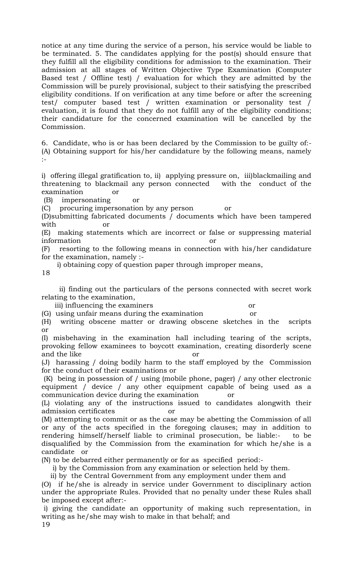notice at any time during the service of a person, his service would be liable to be terminated. 5. The candidates applying for the post(s) should ensure that they fulfill all the eligibility conditions for admission to the examination. Their admission at all stages of Written Objective Type Examination (Computer Based test / Offline test) / evaluation for which they are admitted by the Commission will be purely provisional, subject to their satisfying the prescribed eligibility conditions. If on verification at any time before or after the screening test/ computer based test / written examination or personality test / evaluation, it is found that they do not fulfill any of the eligibility conditions; their candidature for the concerned examination will be cancelled by the Commission.

6. Candidate, who is or has been declared by the Commission to be guilty of:- (A) Obtaining support for his/her candidature by the following means, namely  $\cdot$ 

i) offering illegal gratification to, ii) applying pressure on, iii)blackmailing and threatening to blackmail any person connected with the conduct of the examination or

(B) impersonating or

(C) procuring impersonation by any person or

(D)submitting fabricated documents / documents which have been tampered with or

(E) making statements which are incorrect or false or suppressing material information or

(F) resorting to the following means in connection with his/her candidature for the examination, namely :-

i) obtaining copy of question paper through improper means,

18

 ii) finding out the particulars of the persons connected with secret work relating to the examination,

iii) influencing the examiners or

(G) using unfair means during the examination or

(H) writing obscene matter or drawing obscene sketches in the scripts or

(I) misbehaving in the examination hall including tearing of the scripts, provoking fellow examinees to boycott examination, creating disorderly scene and the like or

(J) harassing / doing bodily harm to the staff employed by the Commission for the conduct of their examinations or

(K) being in possession of / using (mobile phone, pager) / any other electronic equipment / device / any other equipment capable of being used as a communication device during the examination or

(L) violating any of the instructions issued to candidates alongwith their admission certificates or

(M) attempting to commit or as the case may be abetting the Commission of all or any of the acts specified in the foregoing clauses; may in addition to rendering himself/herself liable to criminal prosecution, be liable:- to be disqualified by the Commission from the examination for which he/she is a candidate or

(N) to be debarred either permanently or for as specified period:-

i) by the Commission from any examination or selection held by them.

ii) by the Central Government from any employment under them and

(O) if he/she is already in service under Government to disciplinary action under the appropriate Rules. Provided that no penalty under these Rules shall be imposed except after:-

i) giving the candidate an opportunity of making such representation, in writing as he/she may wish to make in that behalf; and

19